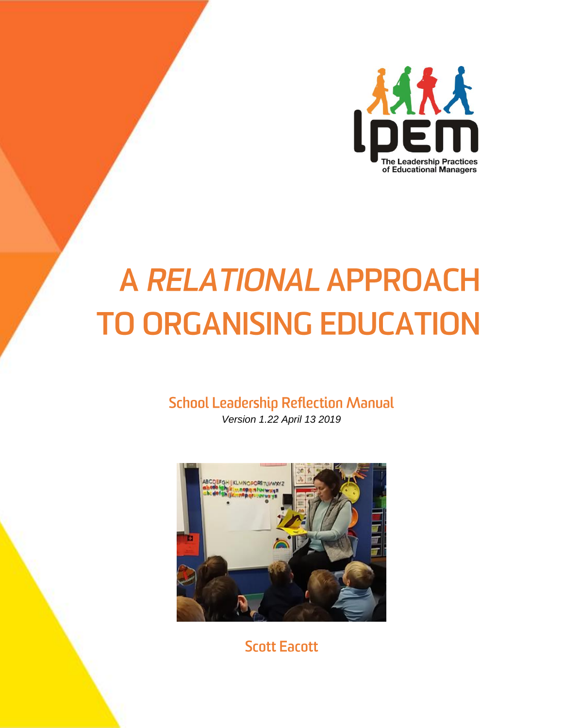

# A RELATIONAL APPROACH **TO ORGANISING EDUCATION**

# **School Leadership Reflection Manual**

*Version 1.22 April 13 2019*



**Scott Eacott**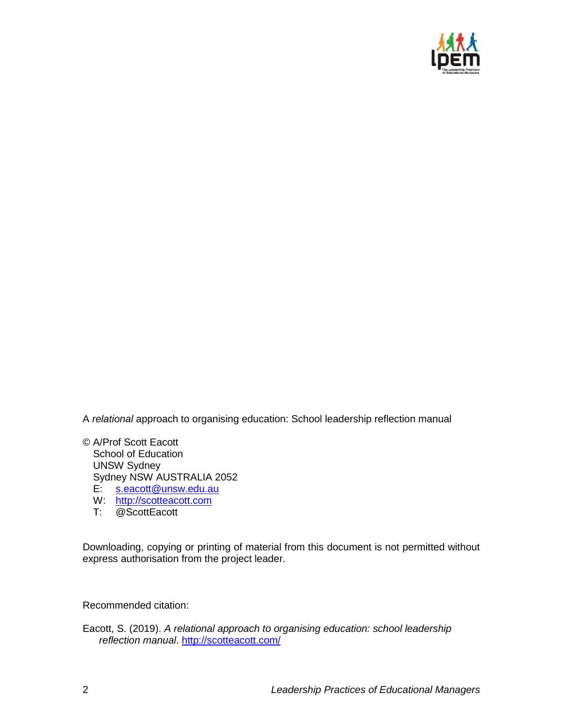

A *relational* approach to organising education: School leadership reflection manual

© A/Prof Scott Eacott School of Education UNSW Sydney Sydney NSW AUSTRALIA 2052 E: [s.eacott@unsw.edu.au](mailto:s.eacott@unsw.edu.au)

- W: [http://scotteacott.com](http://scotteacott.com/)
- T: @ScottEacott

Downloading, copying or printing of material from this document is not permitted without express authorisation from the project leader.

Recommended citation:

Eacott, S. (2019). *A relational approach to organising education: school leadership reflection manual*.<http://scotteacott.com/>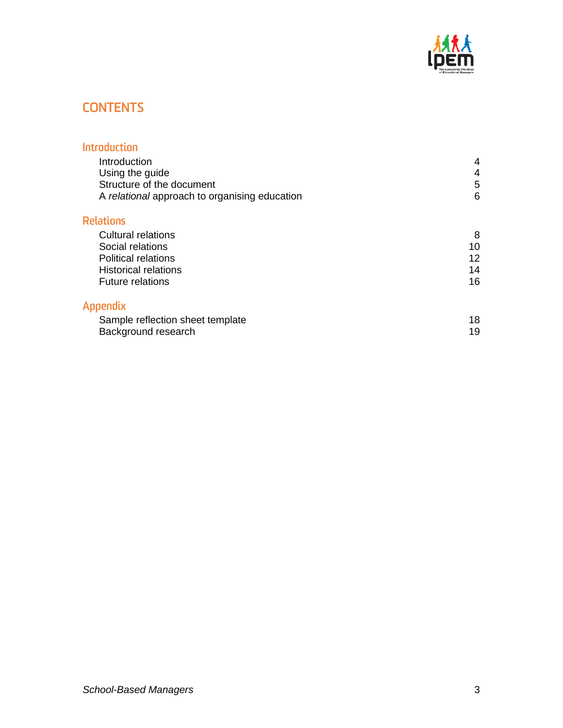

# **CONTENTS**

| <b>Introduction</b>                           |    |
|-----------------------------------------------|----|
| Introduction                                  | 4  |
| Using the guide                               | 4  |
| Structure of the document                     | 5  |
| A relational approach to organising education | 6  |
| <b>Relations</b>                              |    |
| Cultural relations                            | 8  |
| Social relations                              | 10 |
| <b>Political relations</b>                    | 12 |
| <b>Historical relations</b>                   | 14 |
| <b>Future relations</b>                       | 16 |
| Appendix                                      |    |
| Sample reflection sheet template              | 18 |
| Background research                           | 19 |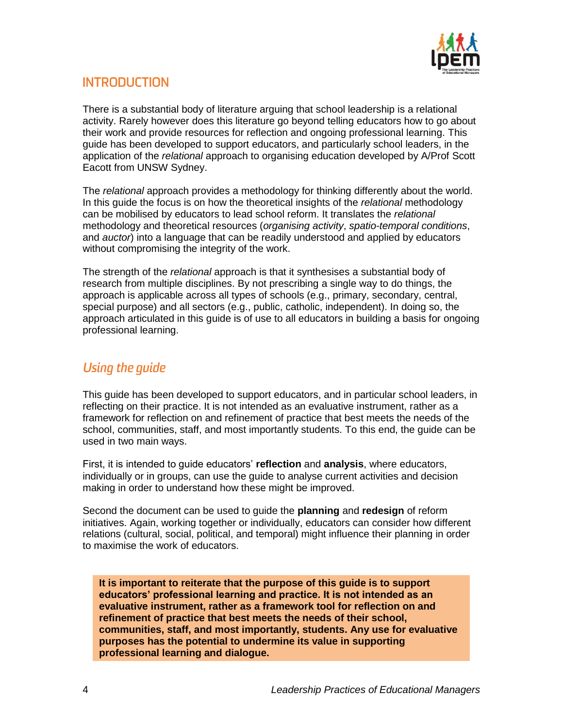

## **INTRODUCTION**

There is a substantial body of literature arguing that school leadership is a relational activity. Rarely however does this literature go beyond telling educators how to go about their work and provide resources for reflection and ongoing professional learning. This guide has been developed to support educators, and particularly school leaders, in the application of the *relational* approach to organising education developed by A/Prof Scott Eacott from UNSW Sydney.

The *relational* approach provides a methodology for thinking differently about the world. In this guide the focus is on how the theoretical insights of the *relational* methodology can be mobilised by educators to lead school reform. It translates the *relational*  methodology and theoretical resources (*organising activity*, *spatio-temporal conditions*, and *auctor*) into a language that can be readily understood and applied by educators without compromising the integrity of the work.

The strength of the *relational* approach is that it synthesises a substantial body of research from multiple disciplines. By not prescribing a single way to do things, the approach is applicable across all types of schools (e.g., primary, secondary, central, special purpose) and all sectors (e.g., public, catholic, independent). In doing so, the approach articulated in this guide is of use to all educators in building a basis for ongoing professional learning.

# **Using the guide**

This guide has been developed to support educators, and in particular school leaders, in reflecting on their practice. It is not intended as an evaluative instrument, rather as a framework for reflection on and refinement of practice that best meets the needs of the school, communities, staff, and most importantly students. To this end, the guide can be used in two main ways.

First, it is intended to guide educators' **reflection** and **analysis**, where educators, individually or in groups, can use the guide to analyse current activities and decision making in order to understand how these might be improved.

Second the document can be used to guide the **planning** and **redesign** of reform initiatives. Again, working together or individually, educators can consider how different relations (cultural, social, political, and temporal) might influence their planning in order to maximise the work of educators.

**It is important to reiterate that the purpose of this guide is to support educators' professional learning and practice. It is not intended as an evaluative instrument, rather as a framework tool for reflection on and refinement of practice that best meets the needs of their school, communities, staff, and most importantly, students. Any use for evaluative purposes has the potential to undermine its value in supporting professional learning and dialogue.**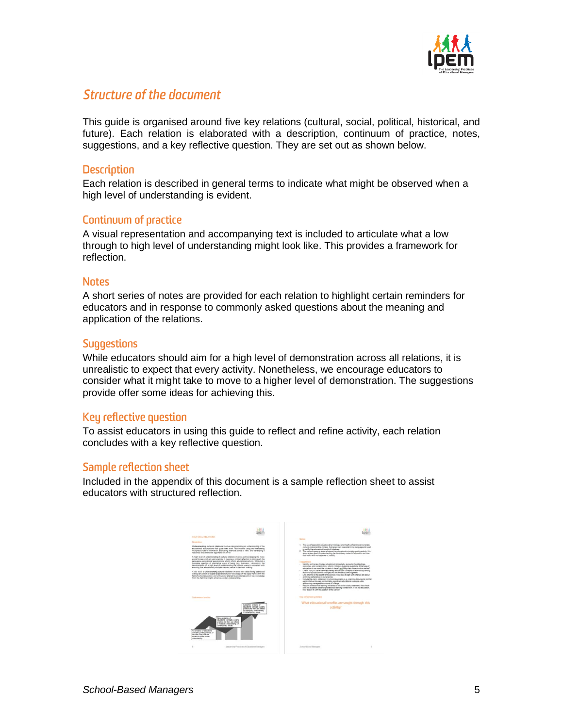

### Structure of the document

This guide is organised around five key relations (cultural, social, political, historical, and future). Each relation is elaborated with a description, continuum of practice, notes, suggestions, and a key reflective question. They are set out as shown below.

#### **Description**

Each relation is described in general terms to indicate what might be observed when a high level of understanding is evident.

#### Continuum of practice

A visual representation and accompanying text is included to articulate what a low through to high level of understanding might look like. This provides a framework for reflection.

#### **Notes**

A short series of notes are provided for each relation to highlight certain reminders for educators and in response to commonly asked questions about the meaning and application of the relations.

#### **Suggestions**

While educators should aim for a high level of demonstration across all relations, it is unrealistic to expect that every activity. Nonetheless, we encourage educators to consider what it might take to move to a higher level of demonstration. The suggestions provide offer some ideas for achieving this.

#### Key reflective question

To assist educators in using this guide to reflect and refine activity, each relation concludes with a key reflective question.

#### Sample reflection sheet

Included in the appendix of this document is a sample reflection sheet to assist educators with structured reflection.

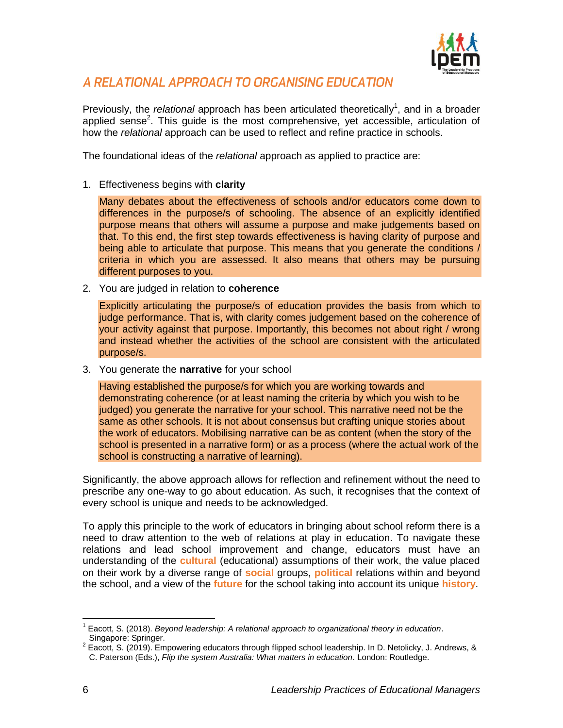

### A RELATIONAL APPROACH TO ORGANISING EDUCATION

Previously, the *relational* approach has been articulated theoretically<sup>1</sup>, and in a broader applied sense<sup>2</sup>. This guide is the most comprehensive, yet accessible, articulation of how the *relational* approach can be used to reflect and refine practice in schools.

The foundational ideas of the *relational* approach as applied to practice are:

1. Effectiveness begins with **clarity**

Many debates about the effectiveness of schools and/or educators come down to differences in the purpose/s of schooling. The absence of an explicitly identified purpose means that others will assume a purpose and make judgements based on that. To this end, the first step towards effectiveness is having clarity of purpose and being able to articulate that purpose. This means that you generate the conditions / criteria in which you are assessed. It also means that others may be pursuing different purposes to you.

2. You are judged in relation to **coherence** 

Explicitly articulating the purpose/s of education provides the basis from which to judge performance. That is, with clarity comes judgement based on the coherence of your activity against that purpose. Importantly, this becomes not about right / wrong and instead whether the activities of the school are consistent with the articulated purpose/s.

3. You generate the **narrative** for your school

Having established the purpose/s for which you are working towards and demonstrating coherence (or at least naming the criteria by which you wish to be judged) you generate the narrative for your school. This narrative need not be the same as other schools. It is not about consensus but crafting unique stories about the work of educators. Mobilising narrative can be as content (when the story of the school is presented in a narrative form) or as a process (where the actual work of the school is constructing a narrative of learning).

Significantly, the above approach allows for reflection and refinement without the need to prescribe any one-way to go about education. As such, it recognises that the context of every school is unique and needs to be acknowledged.

To apply this principle to the work of educators in bringing about school reform there is a need to draw attention to the web of relations at play in education. To navigate these relations and lead school improvement and change, educators must have an understanding of the **cultural** (educational) assumptions of their work, the value placed on their work by a diverse range of **social** groups, **political** relations within and beyond the school, and a view of the **future** for the school taking into account its unique **history**.

 $\overline{a}$ 

<sup>1</sup> Eacott, S. (2018). *Beyond leadership: A relational approach to organizational theory in education*. Singapore: Springer.

 $2$  Eacott, S. (2019). Empowering educators through flipped school leadership. In D. Netolicky, J. Andrews, & C. Paterson (Eds.), *Flip the system Australia: What matters in education*. London: Routledge.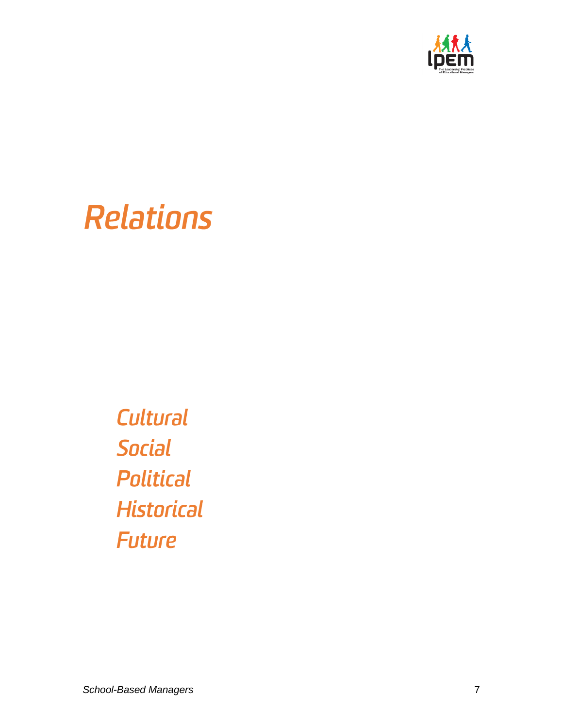

# **Relations**

Cultural Social **Political Historical Future**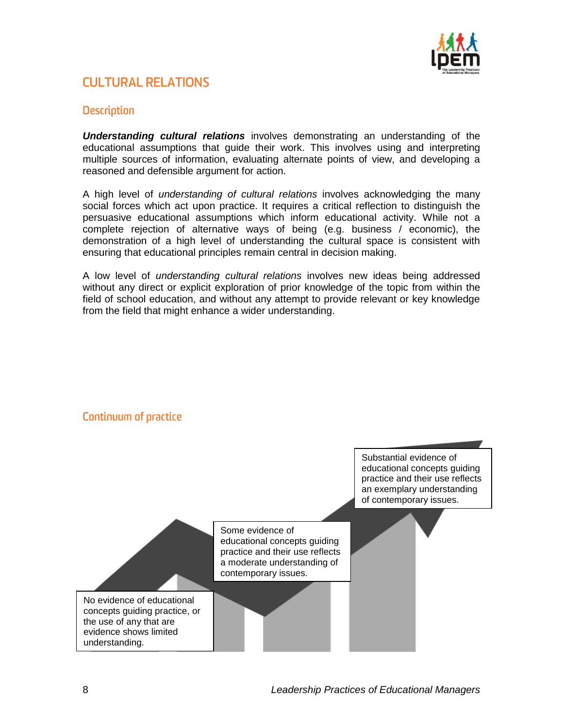

# **CULTURAL RELATIONS**

#### **Description**

*Understanding cultural relations* involves demonstrating an understanding of the educational assumptions that guide their work. This involves using and interpreting multiple sources of information, evaluating alternate points of view, and developing a reasoned and defensible argument for action.

A high level of *understanding of cultural relations* involves acknowledging the many social forces which act upon practice. It requires a critical reflection to distinguish the persuasive educational assumptions which inform educational activity. While not a complete rejection of alternative ways of being (e.g. business / economic), the demonstration of a high level of understanding the cultural space is consistent with ensuring that educational principles remain central in decision making.

A low level of *understanding cultural relations* involves new ideas being addressed without any direct or explicit exploration of prior knowledge of the topic from within the field of school education, and without any attempt to provide relevant or key knowledge from the field that might enhance a wider understanding.



### **Continuum of practice**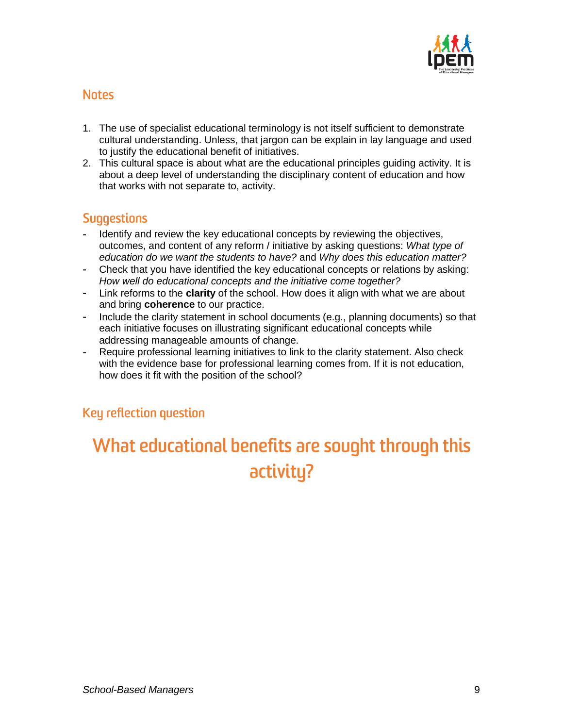

- 1. The use of specialist educational terminology is not itself sufficient to demonstrate cultural understanding. Unless, that jargon can be explain in lay language and used to justify the educational benefit of initiatives.
- 2. This cultural space is about what are the educational principles guiding activity. It is about a deep level of understanding the disciplinary content of education and how that works with not separate to, activity.

# **Suggestions**

- Identify and review the key educational concepts by reviewing the objectives, outcomes, and content of any reform / initiative by asking questions: *What type of education do we want the students to have?* and *Why does this education matter?*
- Check that you have identified the key educational concepts or relations by asking: *How well do educational concepts and the initiative come together?*
- Link reforms to the **clarity** of the school. How does it align with what we are about and bring **coherence** to our practice.
- Include the clarity statement in school documents (e.g., planning documents) so that each initiative focuses on illustrating significant educational concepts while addressing manageable amounts of change.
- Require professional learning initiatives to link to the clarity statement. Also check with the evidence base for professional learning comes from. If it is not education, how does it fit with the position of the school?

### Key reflection question

# What educational benefits are sought through this activity?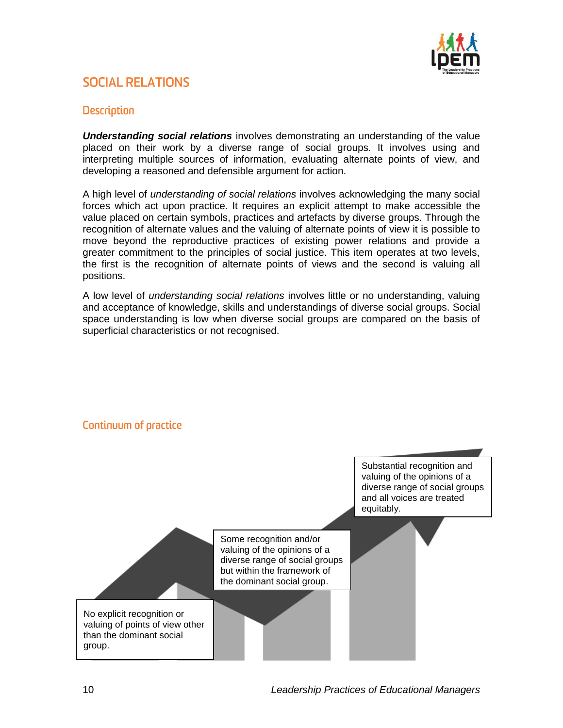

## **SOCIAL RELATIONS**

#### **Description**

*Understanding social relations* involves demonstrating an understanding of the value placed on their work by a diverse range of social groups. It involves using and interpreting multiple sources of information, evaluating alternate points of view, and developing a reasoned and defensible argument for action.

A high level of *understanding of social relations* involves acknowledging the many social forces which act upon practice. It requires an explicit attempt to make accessible the value placed on certain symbols, practices and artefacts by diverse groups. Through the recognition of alternate values and the valuing of alternate points of view it is possible to move beyond the reproductive practices of existing power relations and provide a greater commitment to the principles of social justice. This item operates at two levels, the first is the recognition of alternate points of views and the second is valuing all positions.

A low level of *understanding social relations* involves little or no understanding, valuing and acceptance of knowledge, skills and understandings of diverse social groups. Social space understanding is low when diverse social groups are compared on the basis of superficial characteristics or not recognised.

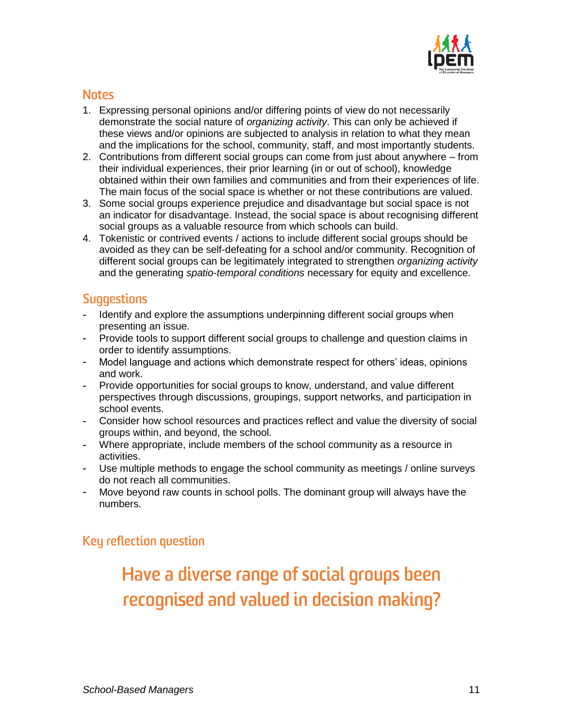

- 1. Expressing personal opinions and/or differing points of view do not necessarily demonstrate the social nature of *organizing activity*. This can only be achieved if these views and/or opinions are subjected to analysis in relation to what they mean and the implications for the school, community, staff, and most importantly students.
- 2. Contributions from different social groups can come from just about anywhere from their individual experiences, their prior learning (in or out of school), knowledge obtained within their own families and communities and from their experiences of life. The main focus of the social space is whether or not these contributions are valued.
- 3. Some social groups experience prejudice and disadvantage but social space is not an indicator for disadvantage. Instead, the social space is about recognising different social groups as a valuable resource from which schools can build.
- 4. Tokenistic or contrived events / actions to include different social groups should be avoided as they can be self-defeating for a school and/or community. Recognition of different social groups can be legitimately integrated to strengthen *organizing activity* and the generating *spatio-temporal conditions* necessary for equity and excellence.

# **Suggestions**

- Identify and explore the assumptions underpinning different social groups when presenting an issue.
- Provide tools to support different social groups to challenge and question claims in order to identify assumptions.
- Model language and actions which demonstrate respect for others' ideas, opinions and work.
- Provide opportunities for social groups to know, understand, and value different perspectives through discussions, groupings, support networks, and participation in school events.
- Consider how school resources and practices reflect and value the diversity of social groups within, and beyond, the school.
- Where appropriate, include members of the school community as a resource in activities.
- Use multiple methods to engage the school community as meetings / online surveys do not reach all communities.
- Move beyond raw counts in school polls. The dominant group will always have the numbers.

# Key reflection question

# Have a diverse range of social groups been recognised and valued in decision making?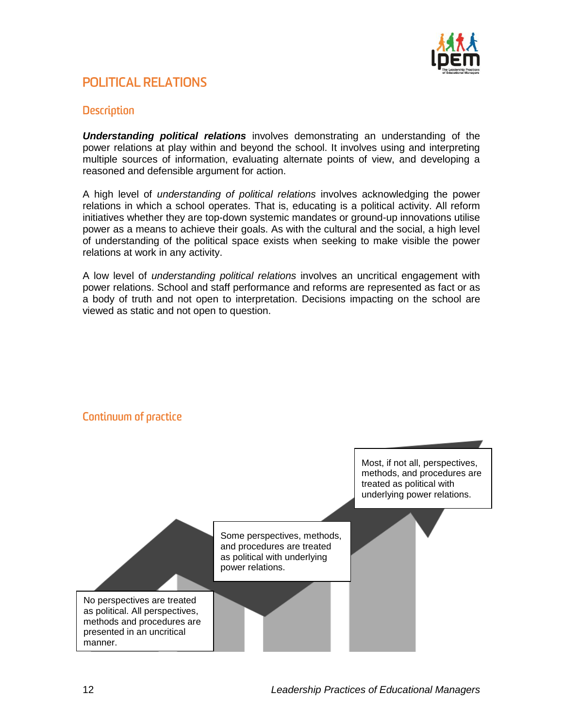

# **POLITICAL RELATIONS**

#### **Description**

*Understanding political relations* involves demonstrating an understanding of the power relations at play within and beyond the school. It involves using and interpreting multiple sources of information, evaluating alternate points of view, and developing a reasoned and defensible argument for action.

A high level of *understanding of political relations* involves acknowledging the power relations in which a school operates. That is, educating is a political activity. All reform initiatives whether they are top-down systemic mandates or ground-up innovations utilise power as a means to achieve their goals. As with the cultural and the social, a high level of understanding of the political space exists when seeking to make visible the power relations at work in any activity.

A low level of *understanding political relations* involves an uncritical engagement with power relations. School and staff performance and reforms are represented as fact or as a body of truth and not open to interpretation. Decisions impacting on the school are viewed as static and not open to question.



### **Continuum of practice**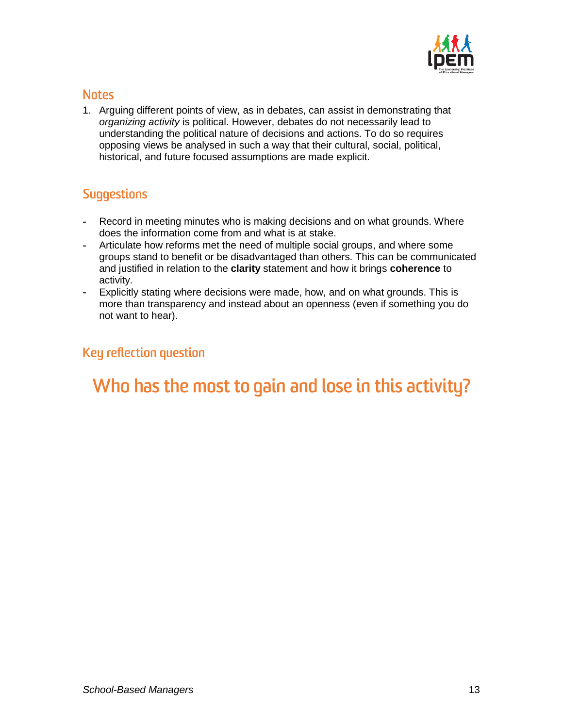

1. Arguing different points of view, as in debates, can assist in demonstrating that *organizing activity* is political. However, debates do not necessarily lead to understanding the political nature of decisions and actions. To do so requires opposing views be analysed in such a way that their cultural, social, political, historical, and future focused assumptions are made explicit.

# **Suggestions**

- Record in meeting minutes who is making decisions and on what grounds. Where does the information come from and what is at stake.
- Articulate how reforms met the need of multiple social groups, and where some  $\mathbf{a}$ groups stand to benefit or be disadvantaged than others. This can be communicated and justified in relation to the **clarity** statement and how it brings **coherence** to activity.
- Explicitly stating where decisions were made, how, and on what grounds. This is more than transparency and instead about an openness (even if something you do not want to hear).

# Key reflection question

# Who has the most to gain and lose in this activity?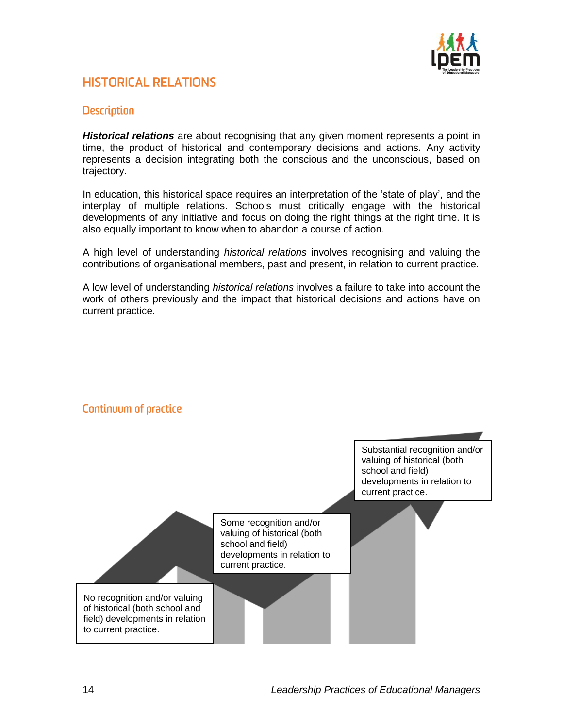

# **HISTORICAL RELATIONS**

#### **Description**

*Historical relations* are about recognising that any given moment represents a point in time, the product of historical and contemporary decisions and actions. Any activity represents a decision integrating both the conscious and the unconscious, based on trajectory.

In education, this historical space requires an interpretation of the 'state of play', and the interplay of multiple relations. Schools must critically engage with the historical developments of any initiative and focus on doing the right things at the right time. It is also equally important to know when to abandon a course of action.

A high level of understanding *historical relations* involves recognising and valuing the contributions of organisational members, past and present, in relation to current practice.

A low level of understanding *historical relations* involves a failure to take into account the work of others previously and the impact that historical decisions and actions have on current practice.



### Continuum of practice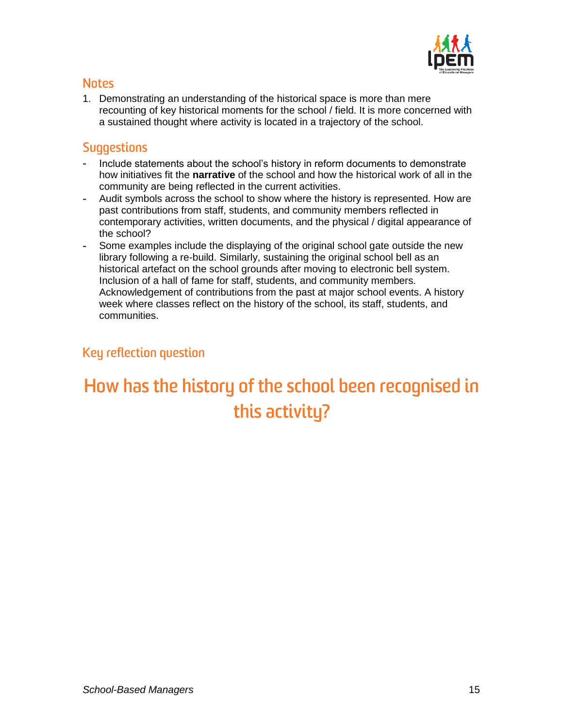

1. Demonstrating an understanding of the historical space is more than mere recounting of key historical moments for the school / field. It is more concerned with a sustained thought where activity is located in a trajectory of the school.

# **Suggestions**

- Include statements about the school's history in reform documents to demonstrate how initiatives fit the **narrative** of the school and how the historical work of all in the community are being reflected in the current activities.
- Audit symbols across the school to show where the history is represented. How are past contributions from staff, students, and community members reflected in contemporary activities, written documents, and the physical / digital appearance of the school?
- Some examples include the displaying of the original school gate outside the new library following a re-build. Similarly, sustaining the original school bell as an historical artefact on the school grounds after moving to electronic bell system. Inclusion of a hall of fame for staff, students, and community members. Acknowledgement of contributions from the past at major school events. A history week where classes reflect on the history of the school, its staff, students, and communities.

# Key reflection question

# How has the history of the school been recognised in this activity?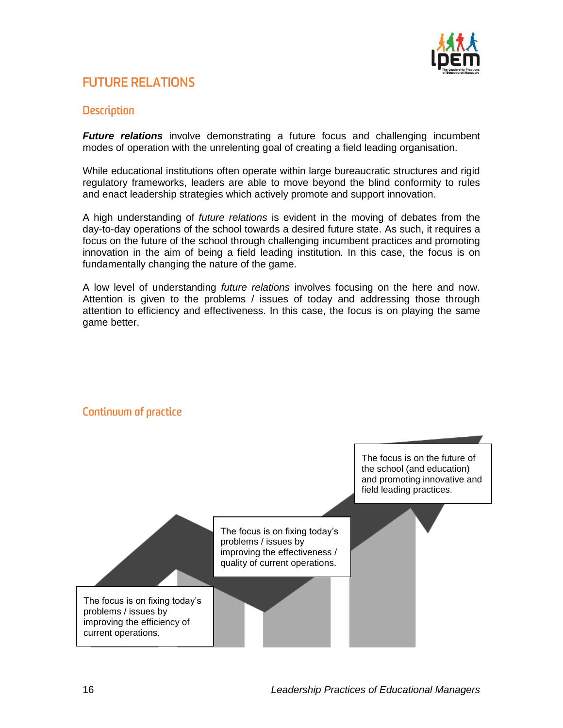

# **FUTURE RELATIONS**

#### **Description**

*Future relations* involve demonstrating a future focus and challenging incumbent modes of operation with the unrelenting goal of creating a field leading organisation.

While educational institutions often operate within large bureaucratic structures and rigid regulatory frameworks, leaders are able to move beyond the blind conformity to rules and enact leadership strategies which actively promote and support innovation.

A high understanding of *future relations* is evident in the moving of debates from the day-to-day operations of the school towards a desired future state. As such, it requires a focus on the future of the school through challenging incumbent practices and promoting innovation in the aim of being a field leading institution. In this case, the focus is on fundamentally changing the nature of the game.

A low level of understanding *future relations* involves focusing on the here and now. Attention is given to the problems / issues of today and addressing those through attention to efficiency and effectiveness. In this case, the focus is on playing the same game better.



#### **Continuum of practice**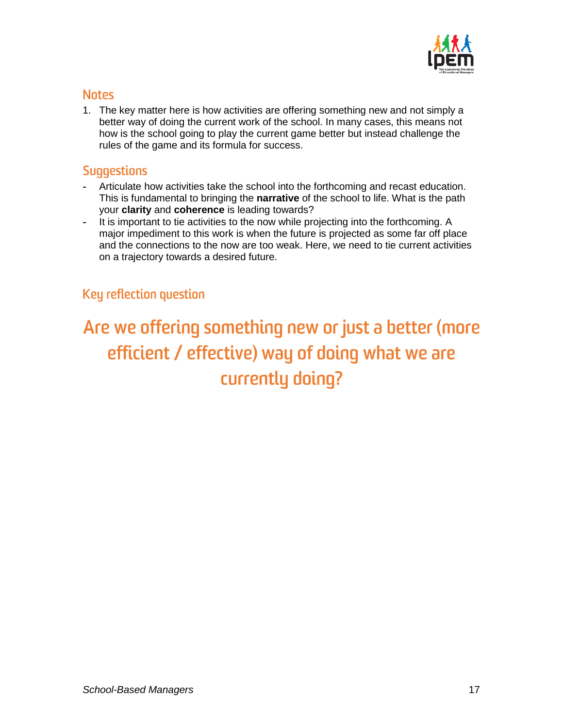

1. The key matter here is how activities are offering something new and not simply a better way of doing the current work of the school. In many cases, this means not how is the school going to play the current game better but instead challenge the rules of the game and its formula for success.

#### **Suggestions**

- Articulate how activities take the school into the forthcoming and recast education. This is fundamental to bringing the **narrative** of the school to life. What is the path your **clarity** and **coherence** is leading towards?
- It is important to tie activities to the now while projecting into the forthcoming. A major impediment to this work is when the future is projected as some far off place and the connections to the now are too weak. Here, we need to tie current activities on a trajectory towards a desired future.

### Key reflection question

# Are we offering something new or just a better (more efficient / effective) way of doing what we are currently doing?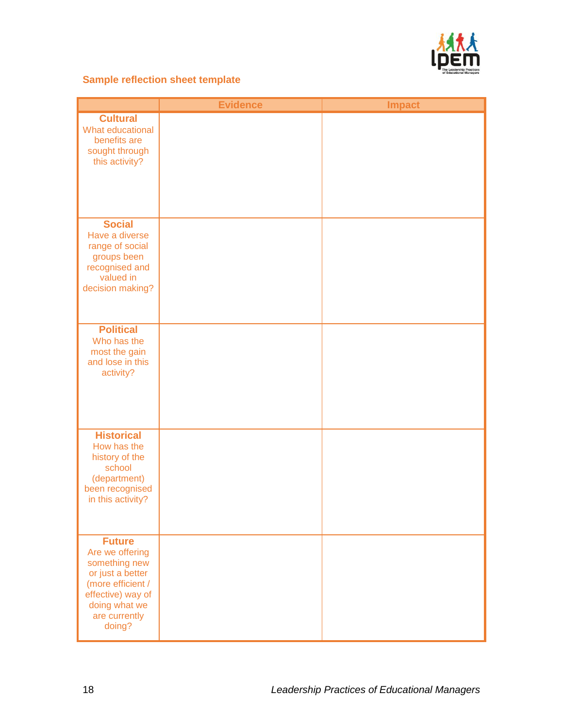

#### **Sample reflection sheet template**

|                                                                                                                                                             | <b>Evidence</b> | <b>Impact</b> |
|-------------------------------------------------------------------------------------------------------------------------------------------------------------|-----------------|---------------|
| <b>Cultural</b><br>What educational<br>benefits are<br>sought through<br>this activity?                                                                     |                 |               |
| <b>Social</b><br>Have a diverse<br>range of social<br>groups been<br>recognised and<br>valued in<br>decision making?                                        |                 |               |
| <b>Political</b><br>Who has the<br>most the gain<br>and lose in this<br>activity?                                                                           |                 |               |
| <b>Historical</b><br>How has the<br>history of the<br>school<br>(department)<br>been recognised<br>in this activity?                                        |                 |               |
| <b>Future</b><br>Are we offering<br>something new<br>or just a better<br>(more efficient /<br>effective) way of<br>doing what we<br>are currently<br>doing? |                 |               |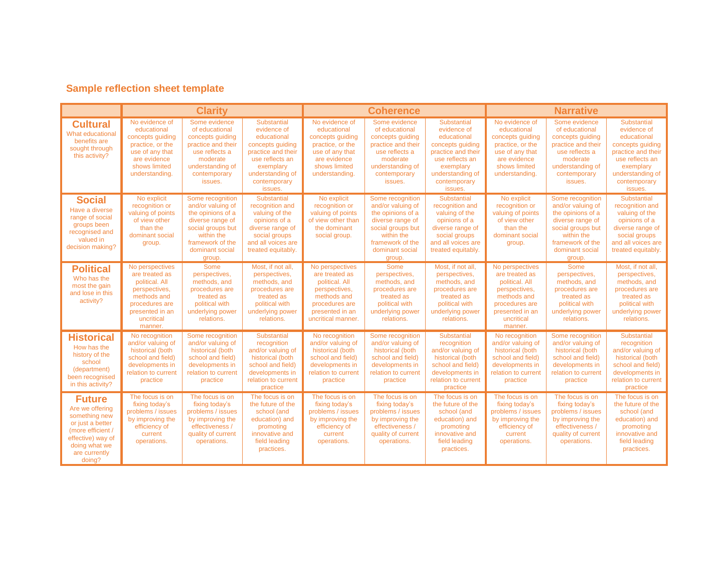# **Sample reflection sheet template**

|                                                                                                                                                             | <b>Clarity</b>                                                                                                                                    |                                                                                                                                                                    |                                                                                                                                                                           | <b>Coherence</b>                                                                                                                               |                                                                                                                                                                    |                                                                                                                                                                    | <b>Narrative</b>                                                                                                                                  |                                                                                                                                                                    |                                                                                                                                                                    |
|-------------------------------------------------------------------------------------------------------------------------------------------------------------|---------------------------------------------------------------------------------------------------------------------------------------------------|--------------------------------------------------------------------------------------------------------------------------------------------------------------------|---------------------------------------------------------------------------------------------------------------------------------------------------------------------------|------------------------------------------------------------------------------------------------------------------------------------------------|--------------------------------------------------------------------------------------------------------------------------------------------------------------------|--------------------------------------------------------------------------------------------------------------------------------------------------------------------|---------------------------------------------------------------------------------------------------------------------------------------------------|--------------------------------------------------------------------------------------------------------------------------------------------------------------------|--------------------------------------------------------------------------------------------------------------------------------------------------------------------|
| <b>Cultural</b><br>What educational<br>benefits are<br>sought through<br>this activity?                                                                     | No evidence of<br>educational<br>concepts guiding<br>practice, or the<br>use of any that<br>are evidence<br>shows limited<br>understanding.       | Some evidence<br>of educational<br>concepts guiding<br>practice and their<br>use reflects a<br>moderate<br>understanding of<br>contemporary<br>issues.             | <b>Substantial</b><br>evidence of<br>educational<br>concepts guiding<br>practice and their<br>use reflects an<br>exemplary<br>understanding of<br>contemporary<br>issues. | No evidence of<br>educational<br>concepts guiding<br>practice, or the<br>use of any that<br>are evidence<br>shows limited<br>understanding.    | Some evidence<br>of educational<br>concepts guiding<br>practice and their<br>use reflects a<br>moderate<br>understanding of<br>contemporary<br>issues.             | Substantial<br>evidence of<br>educational<br>concepts quiding<br>practice and their<br>use reflects an<br>exemplary<br>understanding of<br>contemporary<br>issues. | No evidence of<br>educational<br>concepts guiding<br>practice, or the<br>use of any that<br>are evidence<br>shows limited<br>understanding.       | Some evidence<br>of educational<br>concepts quiding<br>practice and their<br>use reflects a<br>moderate<br>understanding of<br>contemporary<br>issues.             | Substantial<br>evidence of<br>educational<br>concepts quiding<br>practice and their<br>use reflects an<br>exemplary<br>understanding of<br>contemporary<br>issues. |
| <b>Social</b><br>Have a diverse<br>range of social<br>groups been<br>recognised and<br>valued in<br>decision making?                                        | No explicit<br>recognition or<br>valuing of points<br>of view other<br>than the<br>dominant social<br>group.                                      | Some recognition<br>and/or valuing of<br>the opinions of a<br>diverse range of<br>social groups but<br>within the<br>framework of the<br>dominant social<br>group. | <b>Substantial</b><br>recognition and<br>valuing of the<br>opinions of a<br>diverse range of<br>social groups<br>and all voices are<br>treated equitably.                 | No explicit<br>recognition or<br>valuing of points<br>of view other than<br>the dominant<br>social group.                                      | Some recognition<br>and/or valuing of<br>the opinions of a<br>diverse range of<br>social groups but<br>within the<br>framework of the<br>dominant social<br>group. | Substantial<br>recognition and<br>valuing of the<br>opinions of a<br>diverse range of<br>social groups<br>and all voices are<br>treated equitably.                 | No explicit<br>recognition or<br>valuing of points<br>of view other<br>than the<br>dominant social<br>group.                                      | Some recognition<br>and/or valuing of<br>the opinions of a<br>diverse range of<br>social groups but<br>within the<br>framework of the<br>dominant social<br>group. | Substantial<br>recognition and<br>valuing of the<br>opinions of a<br>diverse range of<br>social groups<br>and all voices are<br>treated equitably.                 |
| <b>Political</b><br>Who has the<br>most the gain<br>and lose in this<br>activity?                                                                           | No perspectives<br>are treated as<br>political, All<br>perspectives,<br>methods and<br>procedures are<br>presented in an<br>uncritical<br>manner. | Some<br>perspectives.<br>methods, and<br>procedures are<br>treated as<br>political with<br>underlying power<br>relations.                                          | Most, if not all.<br>perspectives,<br>methods, and<br>procedures are<br>treated as<br>political with<br>underlying power<br>relations.                                    | No perspectives<br>are treated as<br>political, All<br>perspectives,<br>methods and<br>procedures are<br>presented in an<br>uncritical manner. | <b>Some</b><br>perspectives,<br>methods, and<br>procedures are<br>treated as<br>political with<br>underlying power<br>relations.                                   | Most. if not all.<br>perspectives,<br>methods, and<br>procedures are<br>treated as<br>political with<br>underlying power<br>relations.                             | No perspectives<br>are treated as<br>political, All<br>perspectives,<br>methods and<br>procedures are<br>presented in an<br>uncritical<br>manner. | Some<br>perspectives,<br>methods, and<br>procedures are<br>treated as<br>political with<br>underlying power<br>relations.                                          | Most. if not all.<br>perspectives,<br>methods, and<br>procedures are<br>treated as<br>political with<br>underlying power<br>relations.                             |
| <b>Historical</b><br>How has the<br>history of the<br>school<br>(department)<br>been recognised<br>in this activity?                                        | No recognition<br>and/or valuing of<br>historical (both<br>school and field)<br>developments in<br>relation to current<br>practice                | Some recognition<br>and/or valuing of<br>historical (both<br>school and field)<br>developments in<br>relation to current<br>practice                               | Substantial<br>recognition<br>and/or valuing of<br>historical (both<br>school and field)<br>developments in<br>relation to current<br>practice                            | No recognition<br>and/or valuing of<br>historical (both<br>school and field)<br>developments in<br>relation to current<br>practice             | Some recognition<br>and/or valuing of<br>historical (both<br>school and field)<br>developments in<br>relation to current<br>practice                               | Substantial<br>recognition<br>and/or valuing of<br>historical (both<br>school and field)<br>developments in<br>relation to current<br>practice                     | No recognition<br>and/or valuing of<br>historical (both<br>school and field)<br>developments in<br>relation to current<br>practice                | Some recognition<br>and/or valuing of<br>historical (both<br>school and field)<br>developments in<br>relation to current<br>practice                               | Substantial<br>recognition<br>and/or valuing of<br>historical (both<br>school and field)<br>developments in<br>relation to current<br>practice                     |
| <b>Future</b><br>Are we offering<br>something new<br>or just a better<br>(more efficient /<br>effective) way of<br>doing what we<br>are currently<br>doing? | The focus is on<br>fixing today's<br>problems / issues<br>by improving the<br>efficiency of<br>current<br>operations.                             | The focus is on<br>fixing today's<br>problems / issues<br>by improving the<br>effectiveness /<br>quality of current<br>operations.                                 | The focus is on<br>the future of the<br>school (and<br>education) and<br>promoting<br>innovative and<br>field leading<br>practices.                                       | The focus is on<br>fixing today's<br>problems / issues<br>by improving the<br>efficiency of<br>current<br>operations.                          | The focus is on<br>fixing today's<br>problems / issues<br>by improving the<br>effectiveness /<br>quality of current<br>operations.                                 | The focus is on<br>the future of the<br>school (and<br>education) and<br>promoting<br>innovative and<br>field leading<br>practices.                                | The focus is on<br>fixing today's<br>problems / issues<br>by improving the<br>efficiency of<br>current<br>operations.                             | The focus is on<br>fixing today's<br>problems / issues<br>by improving the<br>effectiveness /<br>quality of current<br>operations.                                 | The focus is on<br>the future of the<br>school (and<br>education) and<br>promoting<br>innovative and<br>field leading<br>practices.                                |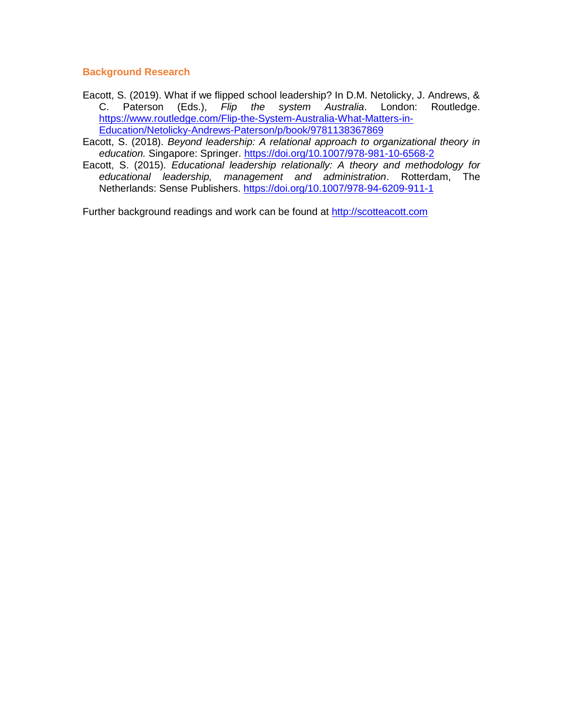#### **Background Research**

- Eacott, S. (2019). What if we flipped school leadership? In D.M. Netolicky, J. Andrews, & C. Paterson (Eds.), *Flip the system Australia*. London: Routledge. [https://www.routledge.com/Flip-the-System-Australia-What-Matters-in-](https://www.routledge.com/Flip-the-System-Australia-What-Matters-in-Education/Netolicky-Andrews-Paterson/p/book/9781138367869)[Education/Netolicky-Andrews-Paterson/p/book/9781138367869](https://www.routledge.com/Flip-the-System-Australia-What-Matters-in-Education/Netolicky-Andrews-Paterson/p/book/9781138367869)
- Eacott, S. (2018). *Beyond leadership: A relational approach to organizational theory in education.* Singapore: Springer.<https://doi.org/10.1007/978-981-10-6568-2>
- Eacott, S. (2015). *Educational leadership relationally: A theory and methodology for educational leadership, management and administration*. Rotterdam, The Netherlands: Sense Publishers.<https://doi.org/10.1007/978-94-6209-911-1>

Further background readings and work can be found at [http://scotteacott.com](http://scotteacott.com/)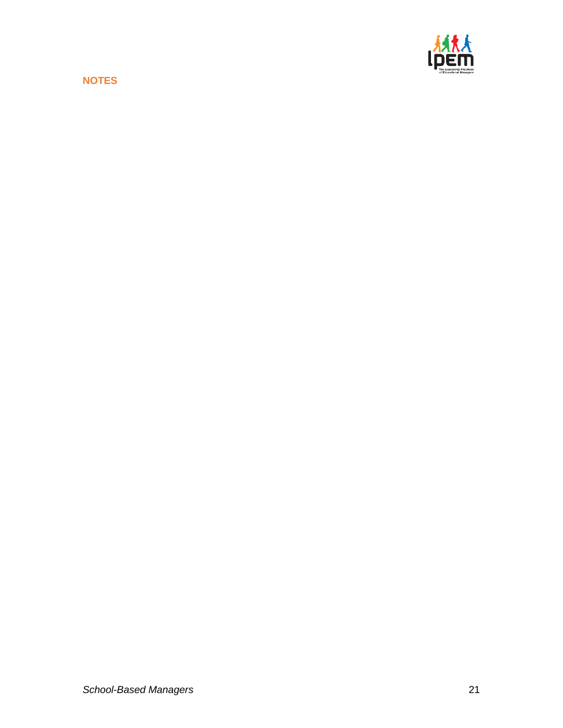**NOTES**